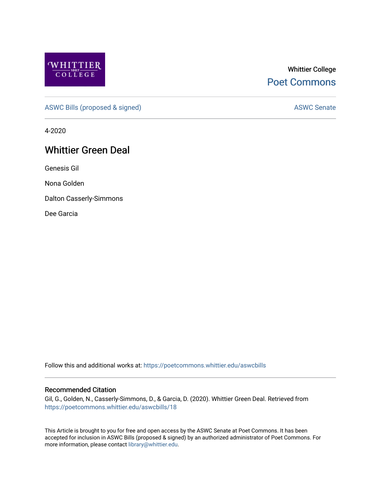

# Whittier College [Poet Commons](https://poetcommons.whittier.edu/)

[ASWC Bills \(proposed & signed\)](https://poetcommons.whittier.edu/aswcbills) ASWC Senate

4-2020

# Whittier Green Deal

Genesis Gil

Nona Golden

Dalton Casserly-Simmons

Dee Garcia

Follow this and additional works at: [https://poetcommons.whittier.edu/aswcbills](https://poetcommons.whittier.edu/aswcbills?utm_source=poetcommons.whittier.edu%2Faswcbills%2F18&utm_medium=PDF&utm_campaign=PDFCoverPages) 

#### Recommended Citation

Gil, G., Golden, N., Casserly-Simmons, D., & Garcia, D. (2020). Whittier Green Deal. Retrieved from [https://poetcommons.whittier.edu/aswcbills/18](https://poetcommons.whittier.edu/aswcbills/18?utm_source=poetcommons.whittier.edu%2Faswcbills%2F18&utm_medium=PDF&utm_campaign=PDFCoverPages)

This Article is brought to you for free and open access by the ASWC Senate at Poet Commons. It has been accepted for inclusion in ASWC Bills (proposed & signed) by an authorized administrator of Poet Commons. For more information, please contact [library@whittier.edu.](mailto:library@whittier.edu)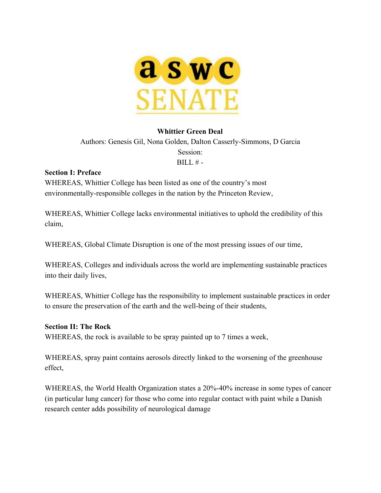

#### **Whittier Green Deal**

Authors: Genesis Gil, Nona Golden, Dalton Casserly-Simmons, D Garcia Session:  $BILL# -$ 

#### **Section I: Preface**

WHEREAS, Whittier College has been listed as one of the country's most environmentally-responsible colleges in the nation by the Princeton Review,

WHEREAS, Whittier College lacks environmental initiatives to uphold the credibility of this claim,

WHEREAS, Global Climate Disruption is one of the most pressing issues of our time,

WHEREAS, Colleges and individuals across the world are implementing sustainable practices into their daily lives,

WHEREAS, Whittier College has the responsibility to implement sustainable practices in order to ensure the preservation of the earth and the well-being of their students,

#### **Section II: The Rock**

WHEREAS, the rock is available to be spray painted up to 7 times a week,

WHEREAS, spray paint contains aerosols directly linked to the worsening of the greenhouse effect,

WHEREAS, the World Health Organization states a 20%-40% increase in some types of cancer (in particular lung cancer) for those who come into regular contact with paint while a Danish research center adds possibility of neurological damage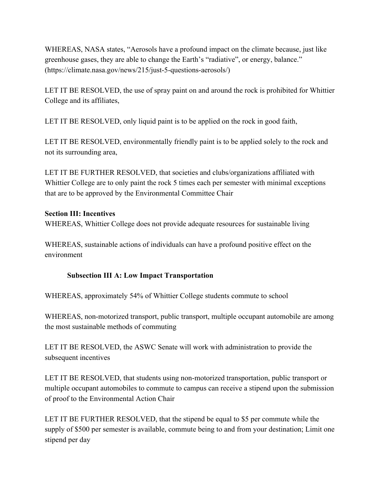WHEREAS, NASA states, "Aerosols have a profound impact on the climate because, just like greenhouse gases, they are able to change the Earth's "radiative", or energy, balance." (https://climate.nasa.gov/news/215/just-5-questions-aerosols/)

LET IT BE RESOLVED, the use of spray paint on and around the rock is prohibited for Whittier College and its affiliates,

LET IT BE RESOLVED, only liquid paint is to be applied on the rock in good faith,

LET IT BE RESOLVED, environmentally friendly paint is to be applied solely to the rock and not its surrounding area,

LET IT BE FURTHER RESOLVED, that societies and clubs/organizations affiliated with Whittier College are to only paint the rock 5 times each per semester with minimal exceptions that are to be approved by the Environmental Committee Chair

## **Section III: Incentives**

WHEREAS, Whittier College does not provide adequate resources for sustainable living

WHEREAS, sustainable actions of individuals can have a profound positive effect on the environment

# **Subsection III A: Low Impact Transportation**

WHEREAS, approximately 54% of Whittier College students commute to school

WHEREAS, non-motorized transport, public transport, multiple occupant automobile are among the most sustainable methods of commuting

LET IT BE RESOLVED, the ASWC Senate will work with administration to provide the subsequent incentives

LET IT BE RESOLVED, that students using non-motorized transportation, public transport or multiple occupant automobiles to commute to campus can receive a stipend upon the submission of proof to the Environmental Action Chair

LET IT BE FURTHER RESOLVED, that the stipend be equal to \$5 per commute while the supply of \$500 per semester is available, commute being to and from your destination; Limit one stipend per day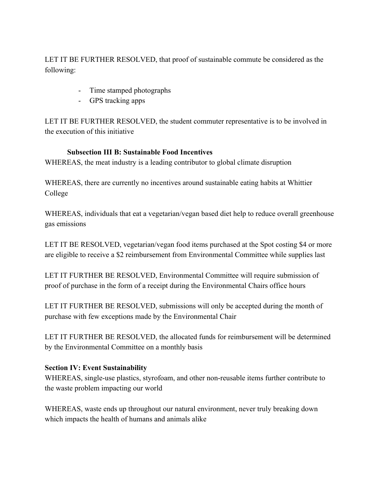LET IT BE FURTHER RESOLVED, that proof of sustainable commute be considered as the following:

- Time stamped photographs
- GPS tracking apps

LET IT BE FURTHER RESOLVED, the student commuter representative is to be involved in the execution of this initiative

## **Subsection III B: Sustainable Food Incentives**

WHEREAS, the meat industry is a leading contributor to global climate disruption

WHEREAS, there are currently no incentives around sustainable eating habits at Whittier College

WHEREAS, individuals that eat a vegetarian/vegan based diet help to reduce overall greenhouse gas emissions

LET IT BE RESOLVED, vegetarian/vegan food items purchased at the Spot costing \$4 or more are eligible to receive a \$2 reimbursement from Environmental Committee while supplies last

LET IT FURTHER BE RESOLVED, Environmental Committee will require submission of proof of purchase in the form of a receipt during the Environmental Chairs office hours

LET IT FURTHER BE RESOLVED, submissions will only be accepted during the month of purchase with few exceptions made by the Environmental Chair

LET IT FURTHER BE RESOLVED, the allocated funds for reimbursement will be determined by the Environmental Committee on a monthly basis

## **Section IV: Event Sustainability**

WHEREAS, single-use plastics, styrofoam, and other non-reusable items further contribute to the waste problem impacting our world

WHEREAS, waste ends up throughout our natural environment, never truly breaking down which impacts the health of humans and animals alike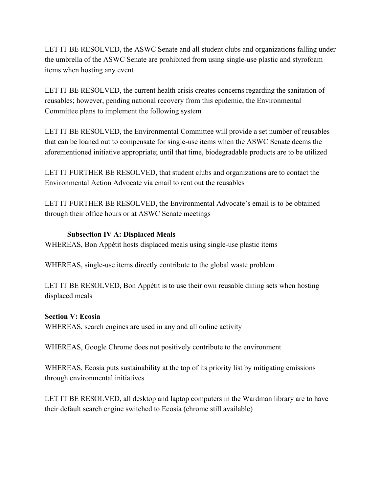LET IT BE RESOLVED, the ASWC Senate and all student clubs and organizations falling under the umbrella of the ASWC Senate are prohibited from using single-use plastic and styrofoam items when hosting any event

LET IT BE RESOLVED, the current health crisis creates concerns regarding the sanitation of reusables; however, pending national recovery from this epidemic, the Environmental Committee plans to implement the following system

LET IT BE RESOLVED, the Environmental Committee will provide a set number of reusables that can be loaned out to compensate for single-use items when the ASWC Senate deems the aforementioned initiative appropriate; until that time, biodegradable products are to be utilized

LET IT FURTHER BE RESOLVED, that student clubs and organizations are to contact the Environmental Action Advocate via email to rent out the reusables

LET IT FURTHER BE RESOLVED, the Environmental Advocate's email is to be obtained through their office hours or at ASWC Senate meetings

#### **Subsection IV A: Displaced Meals**

WHEREAS, Bon Appétit hosts displaced meals using single-use plastic items

WHEREAS, single-use items directly contribute to the global waste problem

LET IT BE RESOLVED, Bon Appétit is to use their own reusable dining sets when hosting displaced meals

#### **Section V: Ecosia**

WHEREAS, search engines are used in any and all online activity

WHEREAS, Google Chrome does not positively contribute to the environment

WHEREAS, Ecosia puts sustainability at the top of its priority list by mitigating emissions through environmental initiatives

LET IT BE RESOLVED, all desktop and laptop computers in the Wardman library are to have their default search engine switched to Ecosia (chrome still available)